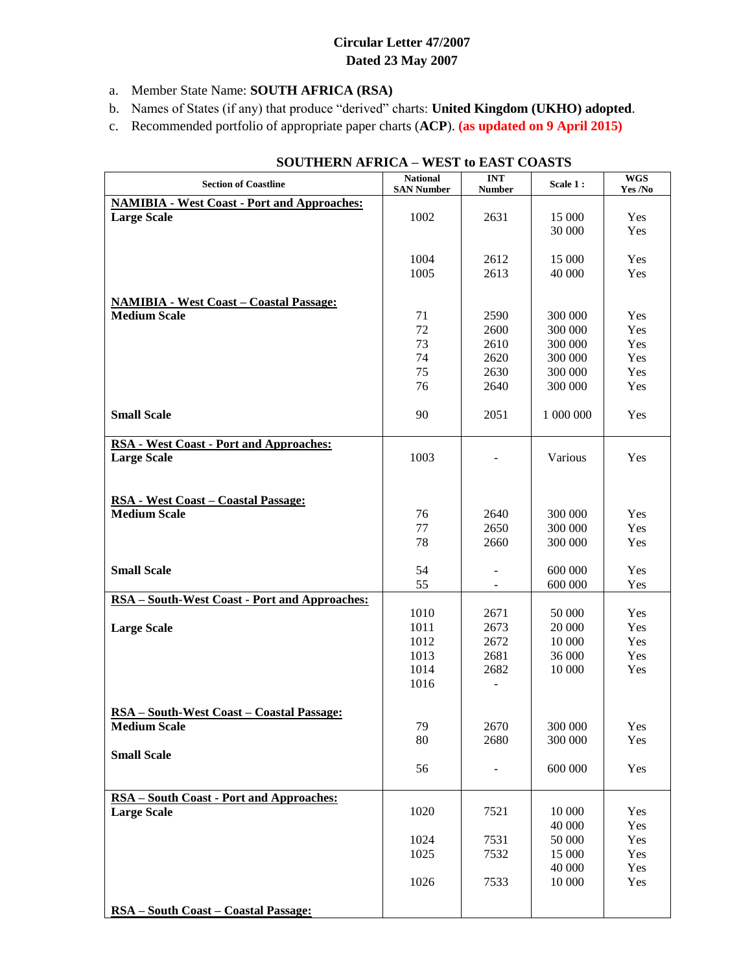## **Circular Letter 47/2007 Dated 23 May 2007**

- a. Member State Name: **SOUTH AFRICA (RSA)**
- b. Names of States (if any) that produce "derived" charts: **United Kingdom (UKHO) adopted**.
- c. Recommended portfolio of appropriate paper charts (**ACP**). **(as updated on 9 April 2015)**

| <b>Section of Coastline</b>                                | <b>National</b><br><b>SAN Number</b> | $\ensuremath{\mathbf{INT}}$<br><b>Number</b> | Scale 1:  | $\overline{\text{WGS}}$<br>Yes /No |
|------------------------------------------------------------|--------------------------------------|----------------------------------------------|-----------|------------------------------------|
| <b>NAMIBIA - West Coast - Port and Approaches:</b>         |                                      |                                              |           |                                    |
| <b>Large Scale</b>                                         | 1002                                 | 2631                                         | 15 000    | Yes                                |
|                                                            |                                      |                                              | 30 000    | Yes                                |
|                                                            |                                      |                                              |           |                                    |
|                                                            | 1004                                 | 2612                                         | 15 000    | Yes                                |
|                                                            | 1005                                 | 2613                                         | 40 000    | Yes                                |
|                                                            |                                      |                                              |           |                                    |
| <b>NAMIBIA - West Coast - Coastal Passage:</b>             |                                      |                                              |           |                                    |
| <b>Medium Scale</b>                                        | 71                                   | 2590                                         | 300 000   | Yes                                |
|                                                            | 72                                   | 2600                                         | 300 000   | Yes                                |
|                                                            | 73                                   | 2610                                         | 300 000   | Yes                                |
|                                                            | 74                                   | 2620                                         | 300 000   | Yes                                |
|                                                            | 75                                   | 2630                                         | 300 000   | Yes                                |
|                                                            | 76                                   | 2640                                         | 300 000   | Yes                                |
|                                                            |                                      |                                              |           |                                    |
| <b>Small Scale</b>                                         | 90                                   | 2051                                         | 1 000 000 | Yes                                |
|                                                            |                                      |                                              |           |                                    |
| <b>RSA - West Coast - Port and Approaches:</b>             |                                      |                                              |           |                                    |
| <b>Large Scale</b>                                         | 1003                                 |                                              | Various   | Yes                                |
|                                                            |                                      |                                              |           |                                    |
|                                                            |                                      |                                              |           |                                    |
| RSA - West Coast - Coastal Passage:<br><b>Medium Scale</b> |                                      |                                              |           |                                    |
|                                                            | 76                                   | 2640                                         | 300 000   | Yes                                |
|                                                            | 77                                   | 2650                                         | 300 000   | Yes                                |
|                                                            | 78                                   | 2660                                         | 300 000   | Yes                                |
| <b>Small Scale</b>                                         | 54                                   |                                              | 600 000   | Yes                                |
|                                                            | 55                                   | $\overline{\phantom{a}}$                     | 600 000   | Yes                                |
| RSA - South-West Coast - Port and Approaches:              |                                      |                                              |           |                                    |
|                                                            | 1010                                 | 2671                                         | 50 000    | Yes                                |
| <b>Large Scale</b>                                         | 1011                                 | 2673                                         | 20 000    | Yes                                |
|                                                            | 1012                                 | 2672                                         | 10 000    | Yes                                |
|                                                            | 1013                                 | 2681                                         | 36 000    | Yes                                |
|                                                            | 1014                                 | 2682                                         | 10 000    | Yes                                |
|                                                            | 1016                                 | -                                            |           |                                    |
|                                                            |                                      |                                              |           |                                    |
| <b>RSA</b> - South-West Coast - Coastal Passage:           |                                      |                                              |           |                                    |
| <b>Medium Scale</b>                                        | 79                                   | 2670                                         | 300 000   | Yes                                |
|                                                            | 80                                   | 2680                                         | 300 000   | Yes                                |
| <b>Small Scale</b>                                         |                                      |                                              |           |                                    |
|                                                            | 56                                   | $\qquad \qquad \blacksquare$                 | 600 000   | Yes                                |
|                                                            |                                      |                                              |           |                                    |
| RSA - South Coast - Port and Approaches:                   |                                      |                                              |           |                                    |
| <b>Large Scale</b>                                         | 1020                                 | 7521                                         | 10 000    | Yes                                |
|                                                            |                                      |                                              | 40 000    | Yes                                |
|                                                            | 1024                                 | 7531                                         | 50 000    | Yes                                |
|                                                            | 1025                                 | 7532                                         | 15 000    | Yes                                |
|                                                            |                                      |                                              | 40 000    | Yes                                |
|                                                            | 1026                                 | 7533                                         | 10 000    | Yes                                |
|                                                            |                                      |                                              |           |                                    |
| <u> RSA – South Coast – Coastal Passage:</u>               |                                      |                                              |           |                                    |

## **SOUTHERN AFRICA – WEST to EAST COASTS**